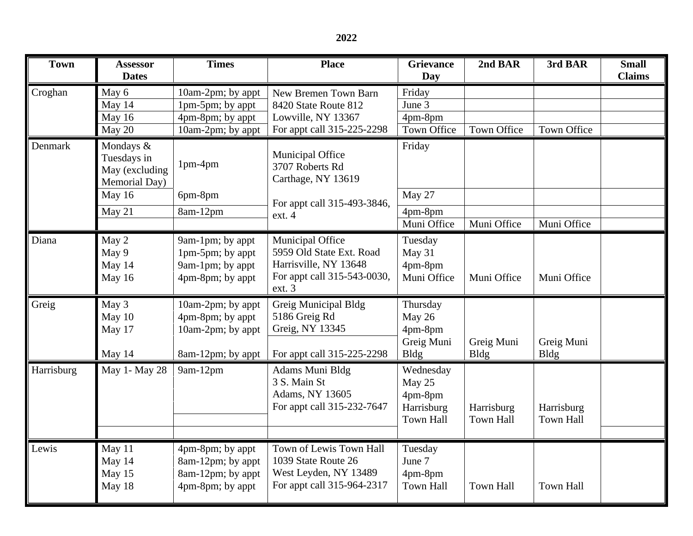| <b>Town</b> | <b>Assessor</b><br><b>Dates</b>                             | <b>Times</b>                                                                 | <b>Place</b>                                                                                                   | <b>Grievance</b><br>Day                                          | 2nd BAR                        | 3rd BAR                        | <b>Small</b><br><b>Claims</b> |
|-------------|-------------------------------------------------------------|------------------------------------------------------------------------------|----------------------------------------------------------------------------------------------------------------|------------------------------------------------------------------|--------------------------------|--------------------------------|-------------------------------|
| Croghan     | May 6                                                       | 10am-2pm; by appt                                                            | New Bremen Town Barn<br>8420 State Route 812<br>Lowville, NY 13367                                             | Friday                                                           |                                |                                |                               |
|             | May 14                                                      | 1pm-5pm; by appt                                                             |                                                                                                                | June 3                                                           |                                |                                |                               |
|             | May 16                                                      | 4pm-8pm; by appt                                                             |                                                                                                                | 4pm-8pm                                                          |                                |                                |                               |
|             | May 20                                                      | 10am-2pm; by appt                                                            | For appt call 315-225-2298                                                                                     | Town Office                                                      | <b>Town Office</b>             | Town Office                    |                               |
| Denmark     | Mondays &<br>Tuesdays in<br>May (excluding<br>Memorial Day) | 1pm-4pm                                                                      | Municipal Office<br>3707 Roberts Rd<br>Carthage, NY 13619                                                      | Friday                                                           |                                |                                |                               |
|             | May 16                                                      | 6pm-8pm                                                                      | For appt call 315-493-3846,                                                                                    | May 27                                                           |                                |                                |                               |
|             | May 21                                                      | 8am-12pm                                                                     | ext. 4                                                                                                         | 4pm-8pm                                                          |                                |                                |                               |
|             |                                                             |                                                                              |                                                                                                                | Muni Office                                                      | Muni Office                    | Muni Office                    |                               |
| Diana       | May 2<br>May 9<br>May 14<br>May 16                          | 9am-1pm; by appt<br>1pm-5pm; by appt<br>9am-1pm; by appt<br>4pm-8pm; by appt | Municipal Office<br>5959 Old State Ext. Road<br>Harrisville, NY 13648<br>For appt call 315-543-0030,<br>ext. 3 | Tuesday<br>May 31<br>4pm-8pm<br>Muni Office                      | Muni Office                    | Muni Office                    |                               |
| Greig       | May 3                                                       | 10am-2pm; by appt                                                            | Greig Municipal Bldg                                                                                           | Thursday                                                         |                                |                                |                               |
|             | May 10<br>May 17                                            | 4pm-8pm; by appt<br>10am-2pm; by appt                                        | 5186 Greig Rd<br>Greig, NY 13345                                                                               | May 26<br>4pm-8pm<br>Greig Muni                                  | Greig Muni                     | Greig Muni                     |                               |
|             | May 14                                                      | 8am-12pm; by appt                                                            | For appt call 315-225-2298                                                                                     | <b>Bldg</b>                                                      | <b>Bldg</b>                    | <b>Bldg</b>                    |                               |
| Harrisburg  | May 1- May 28                                               | 9am-12pm                                                                     | Adams Muni Bldg<br>3 S. Main St<br>Adams, NY 13605<br>For appt call 315-232-7647                               | Wednesday<br>May 25<br>4pm-8pm<br>Harrisburg<br><b>Town Hall</b> | Harrisburg<br><b>Town Hall</b> | Harrisburg<br><b>Town Hall</b> |                               |
| Lewis       | May 11                                                      | 4pm-8pm; by appt                                                             | Town of Lewis Town Hall                                                                                        | Tuesday                                                          |                                |                                |                               |
|             | May 14                                                      | 8am-12pm; by appt                                                            | 1039 State Route 26                                                                                            | June 7                                                           |                                |                                |                               |
|             | May 15<br>May 18                                            | 8am-12pm; by appt<br>4pm-8pm; by appt                                        | West Leyden, NY 13489<br>For appt call 315-964-2317                                                            | 4pm-8pm<br><b>Town Hall</b>                                      | <b>Town Hall</b>               | <b>Town Hall</b>               |                               |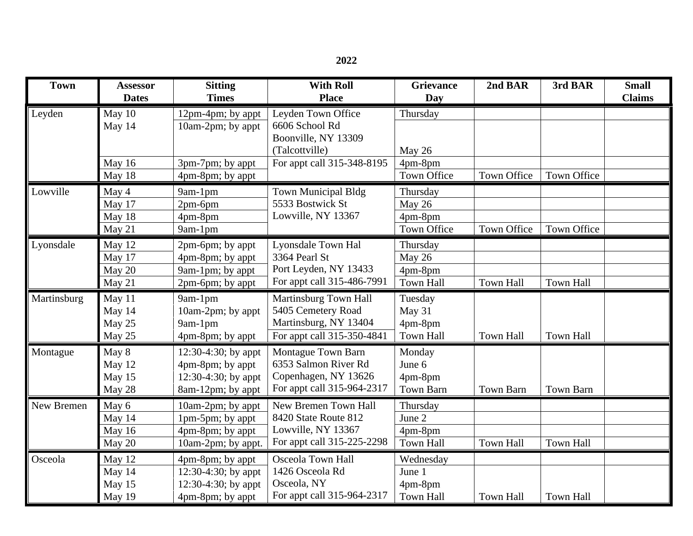| <b>Town</b> | Assessor<br><b>Dates</b> | <b>Sitting</b><br><b>Times</b> | <b>With Roll</b><br><b>Place</b>                                   | <b>Grievance</b><br>Day | 2nd BAR            | 3rd BAR            | <b>Small</b><br><b>Claims</b> |
|-------------|--------------------------|--------------------------------|--------------------------------------------------------------------|-------------------------|--------------------|--------------------|-------------------------------|
| Leyden      | May 10                   | 12pm-4pm; by appt              | Leyden Town Office                                                 | Thursday                |                    |                    |                               |
|             | May 14                   | 10am-2pm; by appt              | 6606 School Rd                                                     |                         |                    |                    |                               |
|             |                          |                                | Boonville, NY 13309                                                |                         |                    |                    |                               |
|             |                          |                                | (Talcottville)                                                     | May 26                  |                    |                    |                               |
|             | May 16                   | 3pm-7pm; by appt               | For appt call 315-348-8195                                         | 4pm-8pm                 |                    |                    |                               |
|             | May 18                   | 4pm-8pm; by appt               |                                                                    | Town Office             | Town Office        | Town Office        |                               |
| Lowville    | May 4                    | 9am-1pm                        | <b>Town Municipal Bldg</b>                                         | Thursday                |                    |                    |                               |
|             | May 17                   | $2pm-6pm$                      | 5533 Bostwick St<br>Lowville, NY 13367                             | May 26                  |                    |                    |                               |
|             | May 18                   | 4pm-8pm                        |                                                                    | 4pm-8pm                 |                    |                    |                               |
|             | May 21                   | 9am-1pm                        |                                                                    | <b>Town Office</b>      | <b>Town Office</b> | <b>Town Office</b> |                               |
| Lyonsdale   | May 12                   | 2pm-6pm; by appt               | <b>Lyonsdale Town Hal</b>                                          | Thursday                |                    |                    |                               |
|             | May 17                   | 4pm-8pm; by appt               | 3364 Pearl St                                                      | May 26                  |                    |                    |                               |
|             | May 20                   | 9am-1pm; by appt               | Port Leyden, NY 13433                                              | 4pm-8pm                 |                    |                    |                               |
|             | May 21                   | 2pm-6pm; by appt               | For appt call 315-486-7991                                         | <b>Town Hall</b>        | <b>Town Hall</b>   | <b>Town Hall</b>   |                               |
| Martinsburg | May 11                   | 9am-1pm                        | Martinsburg Town Hall                                              | Tuesday                 |                    |                    |                               |
|             | May 14                   | 10am-2pm; by appt              | 5405 Cemetery Road                                                 | May 31                  |                    |                    |                               |
|             | May 25                   | 9am-1pm                        | Martinsburg, NY 13404                                              | 4pm-8pm                 |                    |                    |                               |
|             | May 25                   | 4pm-8pm; by appt               | For appt call 315-350-4841                                         | Town Hall               | <b>Town Hall</b>   | Town Hall          |                               |
| Montague    | May 8                    | $12:30-4:30$ ; by appt         | <b>Montague Town Barn</b>                                          | Monday                  |                    |                    |                               |
|             | May 12                   | 4pm-8pm; by appt               | 6353 Salmon River Rd                                               | June 6                  |                    |                    |                               |
|             | May 15                   | 12:30-4:30; by appt            | Copenhagen, NY 13626                                               | 4pm-8pm                 |                    |                    |                               |
|             | May 28                   | 8am-12pm; by appt              | For appt call 315-964-2317                                         | <b>Town Barn</b>        | <b>Town Barn</b>   | <b>Town Barn</b>   |                               |
| New Bremen  | May 6                    | 10am-2pm; by appt              | New Bremen Town Hall<br>8420 State Route 812<br>Lowville, NY 13367 | Thursday                |                    |                    |                               |
|             | May 14                   | 1pm-5pm; by appt               |                                                                    | June 2                  |                    |                    |                               |
|             | May 16                   | 4pm-8pm; by appt               |                                                                    | 4pm-8pm                 |                    |                    |                               |
|             | May 20                   | 10am-2pm; by appt.             | For appt call 315-225-2298                                         | <b>Town Hall</b>        | <b>Town Hall</b>   | <b>Town Hall</b>   |                               |
| Osceola     | May 12                   | 4pm-8pm; by appt               | <b>Osceola Town Hall</b>                                           | Wednesday               |                    |                    |                               |
|             | May 14                   | $12:30-4:30$ ; by appt         | 1426 Osceola Rd                                                    | June 1                  |                    |                    |                               |
|             | May 15                   | $12:30-4:30$ ; by appt         | Osceola, NY                                                        | 4pm-8pm                 |                    |                    |                               |
|             | May 19                   | 4pm-8pm; by appt               | For appt call 315-964-2317                                         | <b>Town Hall</b>        | <b>Town Hall</b>   | <b>Town Hall</b>   |                               |